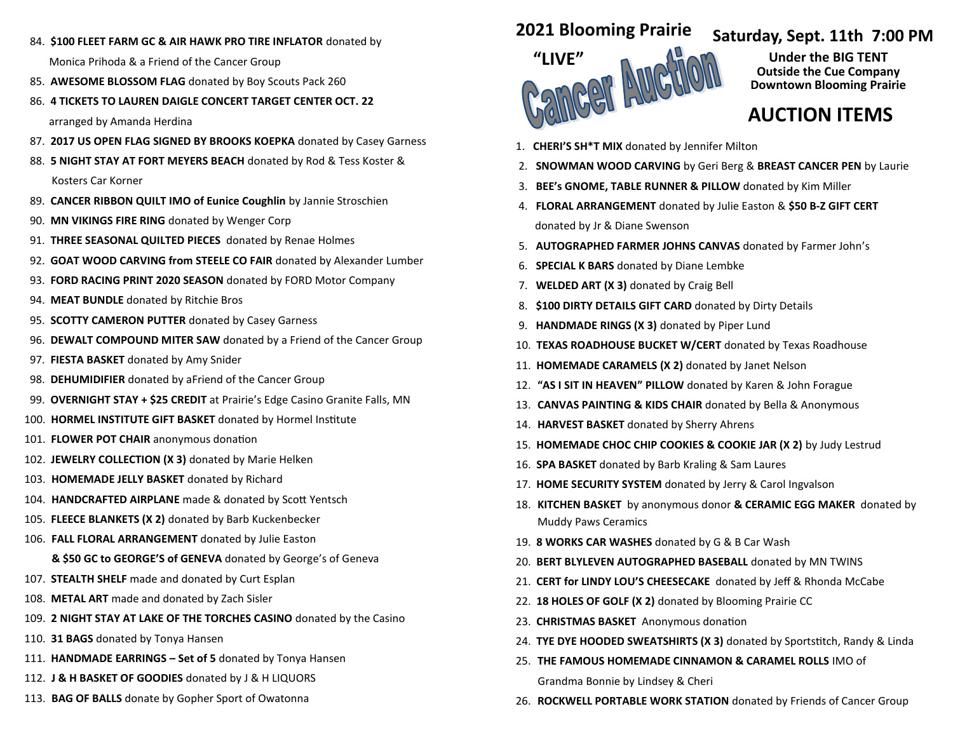84. **\$100 FLEET FARM GC & AIR HAWK PRO TIRE INFLATOR** donated by

Monica Prihoda & a Friend of the Cancer Group

- 85. **AWESOME BLOSSOM FLAG** donated by Boy Scouts Pack 260
- 86. **4 TICKETS TO LAUREN DAIGLE CONCERT TARGET CENTER OCT. 22**

arranged by Amanda Herdina

- 87. **2017 US OPEN FLAG SIGNED BY BROOKS KOEPKA** donated by Casey Garness
- 88. **5 NIGHT STAY AT FORT MEYERS BEACH** donated by Rod & Tess Koster & Kosters Car Korner
- 89. **CANCER RIBBON QUILT IMO of Eunice Coughlin** by Jannie Stroschien
- 90. **MN VIKINGS FIRE RING** donated by Wenger Corp
- 91. **THREE SEASONAL QUILTED PIECES** donated by Renae Holmes
- 92. **GOAT WOOD CARVING from STEELE CO FAIR** donated by Alexander Lumber
- 93. **FORD RACING PRINT 2020 SEASON** donated by FORD Motor Company
- 94. **MEAT BUNDLE** donated by Ritchie Bros
- 95. **SCOTTY CAMERON PUTTER** donated by Casey Garness
- 96. **DEWALT COMPOUND MITER SAW** donated by a Friend of the Cancer Group
- 97. **FIESTA BASKET** donated by Amy Snider
- 98. **DEHUMIDIFIER** donated by aFriend of the Cancer Group
- 99. **OVERNIGHT STAY + \$25 CREDIT** at Prairie's Edge Casino Granite Falls, MN
- 100. **HORMEL INSTITUTE GIFT BASKET** donated by Hormel Institute
- 101. **FLOWER POT CHAIR** anonymous donation
- 102. **JEWELRY COLLECTION (X 3)** donated by Marie Helken
- 103. **HOMEMADE JELLY BASKET** donated by Richard
- 104. **HANDCRAFTED AIRPLANE** made & donated by Scott Yentsch
- 105. **FLEECE BLANKETS (X 2)** donated by Barb Kuckenbecker
- 106. **FALL FLORAL ARRANGEMENT** donated by Julie Easton

## **& \$50 GC to GEORGE'S of GENEVA** donated by George's of Geneva

- 107. **STEALTH SHELF** made and donated by Curt Esplan
- 108. **METAL ART** made and donated by Zach Sisler
- 109. **2 NIGHT STAY AT LAKE OF THE TORCHES CASINO** donated by the Casino
- 110. **31 BAGS** donated by Tonya Hansen
- 111. **HANDMADE EARRINGS – Set of 5** donated by Tonya Hansen
- 112. **J & H BASKET OF GOODIES** donated by J & H LIQUORS
- 113. **BAG OF BALLS** donate by Gopher Sport of Owatonna

## **2021 Blooming Prairie**



## **Saturday, Sept. 11th 7:00 PM**

**Under the BIG TENT Outside the Cue Company Downtown Blooming Prairie** 

## **AUCTION ITEMS**

- 1. **CHERI'S SH\*T MIX** donated by Jennifer Milton
- 2. **SNOWMAN WOOD CARVING** by Geri Berg & **BREAST CANCER PEN** by Laurie
- 3. **BEE's GNOME, TABLE RUNNER & PILLOW** donated by Kim Miller
- 4. **FLORAL ARRANGEMENT** donated by Julie Easton & **\$50 B-Z GIFT CERT** donated by Jr & Diane Swenson
- 5. **AUTOGRAPHED FARMER JOHNS CANVAS** donated by Farmer John's
- 6. **SPECIAL K BARS** donated by Diane Lembke
- 7. **WELDED ART (X 3)** donated by Craig Bell
- 8. **\$100 DIRTY DETAILS GIFT CARD** donated by Dirty Details
- 9. **HANDMADE RINGS (X 3)** donated by Piper Lund
- 10. **TEXAS ROADHOUSE BUCKET W/CERT** donated by Texas Roadhouse
- 11. **HOMEMADE CARAMELS (X 2)** donated by Janet Nelson
- 12. **"AS I SIT IN HEAVEN" PILLOW** donated by Karen & John Forague
- 13. **CANVAS PAINTING & KIDS CHAIR** donated by Bella & Anonymous
- 14. **HARVEST BASKET** donated by Sherry Ahrens
- 15. **HOMEMADE CHOC CHIP COOKIES & COOKIE JAR (X 2)** by Judy Lestrud
- 16. **SPA BASKET** donated by Barb Kraling & Sam Laures
- 17. **HOME SECURITY SYSTEM** donated by Jerry & Carol Ingvalson
- 18. **KITCHEN BASKET** by anonymous donor **& CERAMIC EGG MAKER** donated by Muddy Paws Ceramics
- 19. **8 WORKS CAR WASHES** donated by G & B Car Wash
- 20. **BERT BLYLEVEN AUTOGRAPHED BASEBALL** donated by MN TWINS
- 21. **CERT for LINDY LOU'S CHEESECAKE** donated by Jeff & Rhonda McCabe
- 22. **18 HOLES OF GOLF (X 2)** donated by Blooming Prairie CC
- 23. **CHRISTMAS BASKET** Anonymous donation
- 24. **TYE DYE HOODED SWEATSHIRTS (X 3)** donated by Sportstitch, Randy & Linda
- 25. **THE FAMOUS HOMEMADE CINNAMON & CARAMEL ROLLS** IMO of

Grandma Bonnie by Lindsey & Cheri

26. **ROCKWELL PORTABLE WORK STATION** donated by Friends of Cancer Group